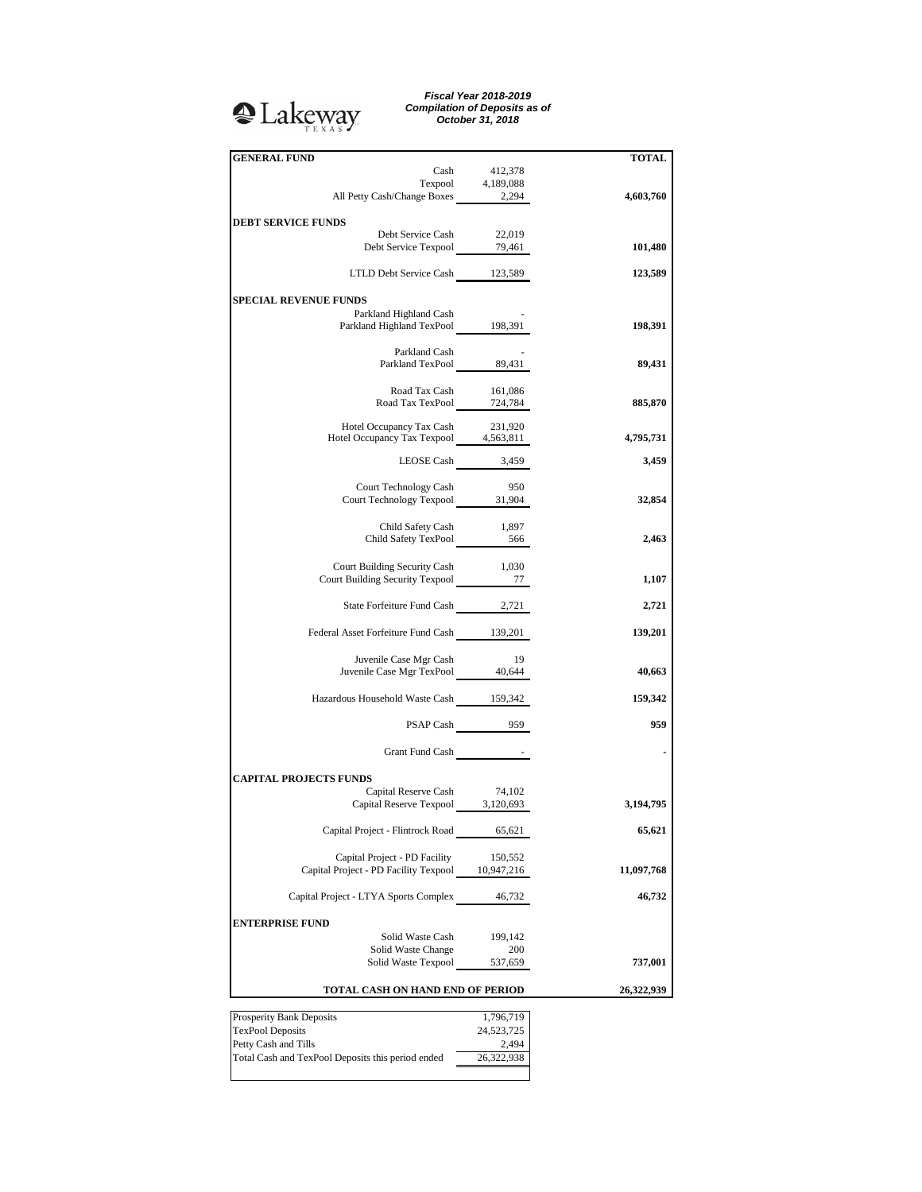## Lakeway

*Fiscal Year 2018-2019 Compilation of Deposits as of October 31, 2018*

| <b>GENERAL FUND</b>                                                       |                     | <b>TOTAL</b> |
|---------------------------------------------------------------------------|---------------------|--------------|
|                                                                           | Cash 412,378        |              |
|                                                                           | Texpool 4,189,088   |              |
| All Petty Cash/Change Boxes 2,294                                         |                     | 4,603,760    |
|                                                                           |                     |              |
| <b>DEBT SERVICE FUNDS</b>                                                 |                     |              |
| Debt Service Cash<br>Debt Service Texpool 79,461                          | 22,019              | 101,480      |
|                                                                           |                     |              |
| LTLD Debt Service Cash 123,589                                            |                     | 123,589      |
|                                                                           |                     |              |
| <b>SPECIAL REVENUE FUNDS</b>                                              |                     |              |
| Parkland Highland Cash                                                    |                     |              |
| Parkland Highland TexPool 198,391                                         |                     | 198,391      |
|                                                                           |                     |              |
| Parkland Cash<br>Parkland TexPool 89,431                                  |                     | 89,431       |
|                                                                           |                     |              |
| Road Tax Cash                                                             | 161,086             |              |
| Road Tax Cash 161,086<br>Road Tax TexPool 724,784                         |                     | 885,870      |
|                                                                           |                     |              |
| Hotel Occupancy Tax Cash 231,920<br>Hotel Occupancy Tax Texpool 4,563,811 |                     |              |
|                                                                           |                     | 4,795,731    |
| LEOSE Cash 3,459                                                          |                     | 3,459        |
|                                                                           |                     |              |
| Court Technology Cash                                                     | 950                 |              |
| Court Technology Texpool 31,904                                           |                     | 32,854       |
|                                                                           |                     |              |
| Child Safety Cash 1,897<br>Child Safety TexPool 566                       |                     |              |
|                                                                           |                     | 2,463        |
|                                                                           |                     |              |
| Court Building Security Cash<br>Court Building Security Texpool 277       | 1,030               |              |
|                                                                           |                     | 1,107        |
| State Forfeiture Fund Cash 2,721                                          |                     | 2,721        |
|                                                                           |                     |              |
| Federal Asset Forfeiture Fund Cash 139,201                                |                     | 139,201      |
|                                                                           |                     |              |
| Juvenile Case Mgr Cash                                                    | 19                  |              |
| Juvenile Case Mgr TexPool 40,644                                          |                     | 40,663       |
|                                                                           |                     |              |
| Hazardous Household Waste Cash 159,342                                    |                     | 159,342      |
|                                                                           |                     |              |
|                                                                           | PSAP Cash 959       | 959          |
| Grant Fund Cash The Research                                              |                     |              |
|                                                                           |                     |              |
| <b>CAPITAL PROJECTS FUNDS</b>                                             |                     |              |
| Capital Reserve Cash 74,102                                               |                     |              |
| Capital Reserve Texpool 3,120,693                                         |                     | 3,194,795    |
|                                                                           |                     |              |
| Capital Project - Flintrock Road 65,621                                   |                     | 65,621       |
|                                                                           |                     |              |
| Capital Project - PD Facility                                             | 150,552             |              |
| Capital Project - PD Facility Texpool 10,947,216                          |                     | 11,097,768   |
| Capital Project - LTYA Sports Complex 46,732                              |                     | 46,732       |
|                                                                           |                     |              |
| <b>ENTERPRISE FUND</b>                                                    |                     |              |
| Solid Waste Cash                                                          | 199,142             |              |
| Solid Waste Change                                                        | 200                 |              |
| Solid Waste Texpool                                                       | 537,659             | 737,001      |
|                                                                           |                     |              |
| TOTAL CASH ON HAND END OF PERIOD                                          | 26,322,939          |              |
|                                                                           |                     |              |
| Prosperity Bank Deposits                                                  | 1,796,719           |              |
| <b>TexPool Deposits</b><br>Petty Cash and Tills                           | 24,523,725<br>2,494 |              |
|                                                                           |                     |              |

Total Cash and TexPool Deposits this period ended 26,322,938